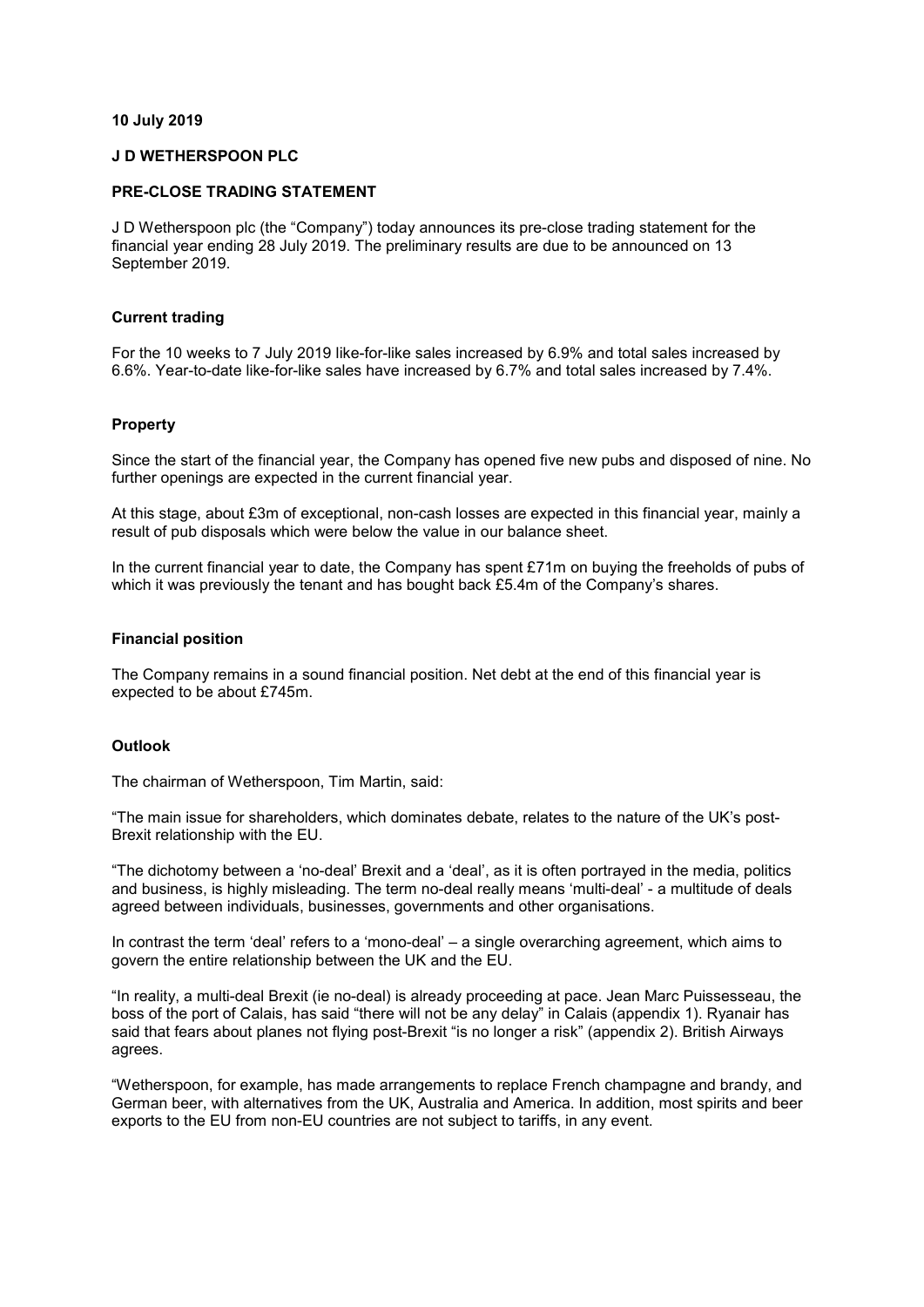#### **10 July 2019**

#### **J D WETHERSPOON PLC**

#### **PRE-CLOSE TRADING STATEMENT**

J D Wetherspoon plc (the "Company") today announces its pre-close trading statement for the financial year ending 28 July 2019. The preliminary results are due to be announced on 13 September 2019.

#### **Current trading**

For the 10 weeks to 7 July 2019 like-for-like sales increased by 6.9% and total sales increased by 6.6%. Year-to-date like-for-like sales have increased by 6.7% and total sales increased by 7.4%.

#### **Property**

Since the start of the financial year, the Company has opened five new pubs and disposed of nine. No further openings are expected in the current financial year.

At this stage, about £3m of exceptional, non-cash losses are expected in this financial year, mainly a result of pub disposals which were below the value in our balance sheet.

In the current financial year to date, the Company has spent £71m on buying the freeholds of pubs of which it was previously the tenant and has bought back £5.4m of the Company's shares.

#### **Financial position**

The Company remains in a sound financial position. Net debt at the end of this financial year is expected to be about £745m.

#### **Outlook**

The chairman of Wetherspoon, Tim Martin, said:

"The main issue for shareholders, which dominates debate, relates to the nature of the UK's post-Brexit relationship with the EU.

"The dichotomy between a 'no-deal' Brexit and a 'deal', as it is often portrayed in the media, politics and business, is highly misleading. The term no-deal really means 'multi-deal' - a multitude of deals agreed between individuals, businesses, governments and other organisations.

In contrast the term 'deal' refers to a 'mono-deal' – a single overarching agreement, which aims to govern the entire relationship between the UK and the EU.

"In reality, a multi-deal Brexit (ie no-deal) is already proceeding at pace. Jean Marc Puissesseau, the boss of the port of Calais, has said "there will not be any delay" in Calais (appendix 1). Ryanair has said that fears about planes not flying post-Brexit "is no longer a risk" (appendix 2). British Airways agrees.

"Wetherspoon, for example, has made arrangements to replace French champagne and brandy, and German beer, with alternatives from the UK, Australia and America. In addition, most spirits and beer exports to the EU from non-EU countries are not subject to tariffs, in any event.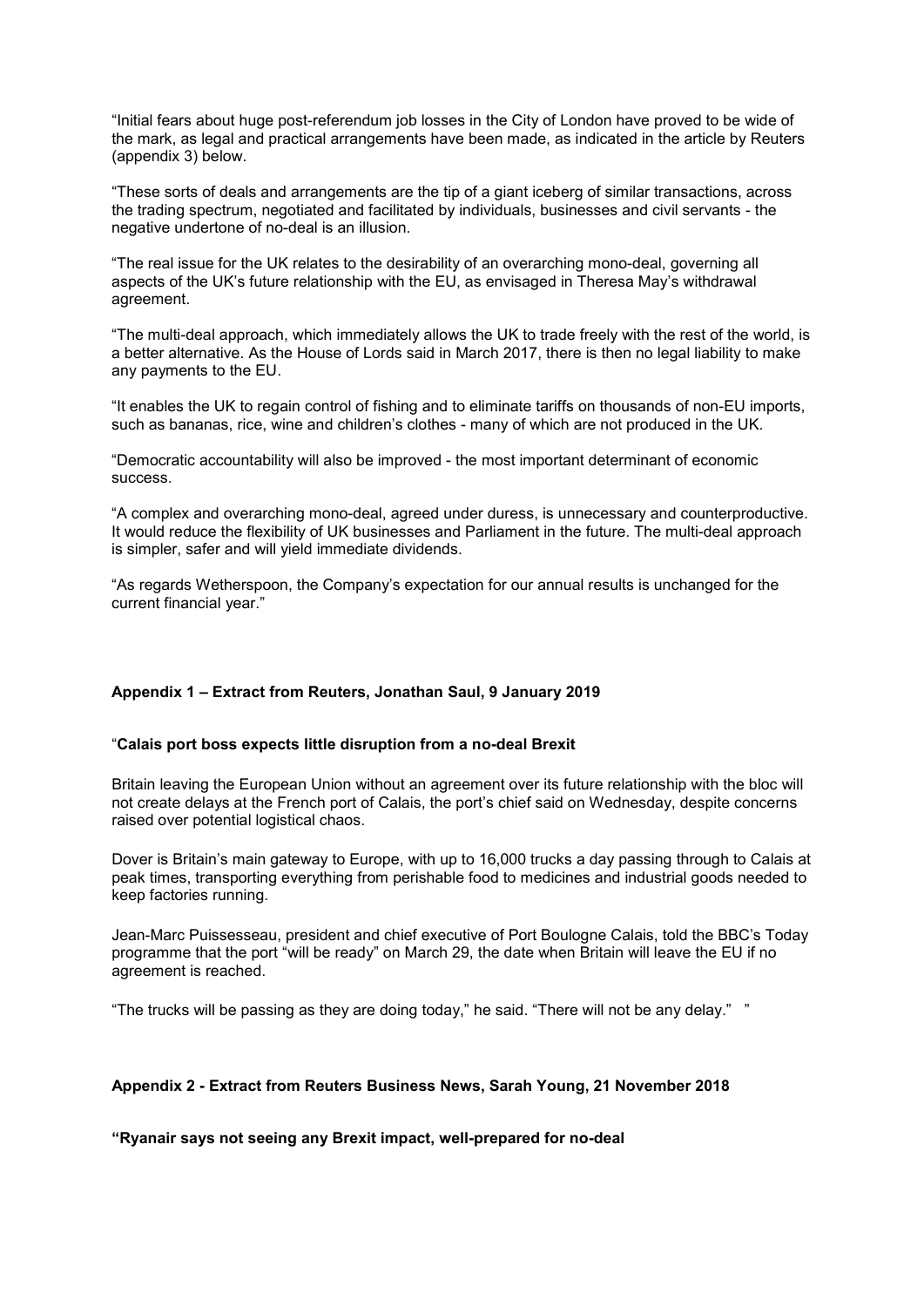"Initial fears about huge post-referendum job losses in the City of London have proved to be wide of the mark, as legal and practical arrangements have been made, as indicated in the article by Reuters (appendix 3) below.

"These sorts of deals and arrangements are the tip of a giant iceberg of similar transactions, across the trading spectrum, negotiated and facilitated by individuals, businesses and civil servants - the negative undertone of no-deal is an illusion.

"The real issue for the UK relates to the desirability of an overarching mono-deal, governing all aspects of the UK's future relationship with the EU, as envisaged in Theresa May's withdrawal agreement.

"The multi-deal approach, which immediately allows the UK to trade freely with the rest of the world, is a better alternative. As the House of Lords said in March 2017, there is then no legal liability to make any payments to the EU.

"It enables the UK to regain control of fishing and to eliminate tariffs on thousands of non-EU imports, such as bananas, rice, wine and children's clothes - many of which are not produced in the UK.

"Democratic accountability will also be improved - the most important determinant of economic success.

"A complex and overarching mono-deal, agreed under duress, is unnecessary and counterproductive. It would reduce the flexibility of UK businesses and Parliament in the future. The multi-deal approach is simpler, safer and will yield immediate dividends.

"As regards Wetherspoon, the Company's expectation for our annual results is unchanged for the current financial year."

## **Appendix 1 – Extract from Reuters, Jonathan Saul, 9 January 2019**

## "**Calais port boss expects little disruption from a no-deal Brexit**

Britain leaving the European Union without an agreement over its future relationship with the bloc will not create delays at the French port of Calais, the port's chief said on Wednesday, despite concerns raised over potential logistical chaos.

Dover is Britain's main gateway to Europe, with up to 16,000 trucks a day passing through to Calais at peak times, transporting everything from perishable food to medicines and industrial goods needed to keep factories running.

Jean-Marc Puissesseau, president and chief executive of Port Boulogne Calais, told the BBC's Today programme that the port "will be ready" on March 29, the date when Britain will leave the EU if no agreement is reached.

"The trucks will be passing as they are doing today," he said. "There will not be any delay." "

## **Appendix 2 - Extract from Reuters Business News, Sarah Young, 21 November 2018**

## **"Ryanair says not seeing any Brexit impact, well-prepared for no-deal**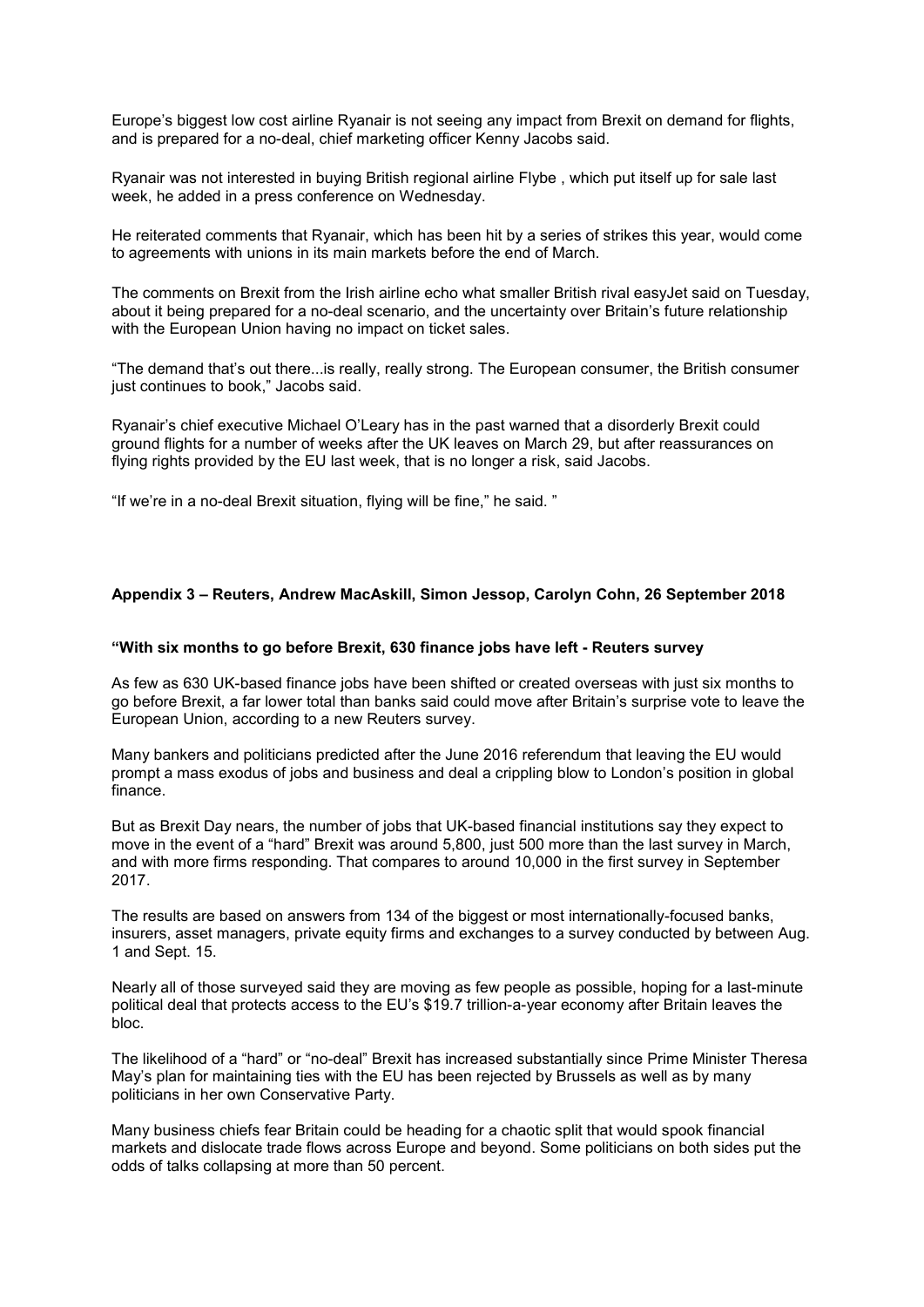Europe's biggest low cost airline Ryanair is not seeing any impact from Brexit on demand for flights, and is prepared for a no-deal, chief marketing officer Kenny Jacobs said.

Ryanair was not interested in buying British regional airline Flybe , which put itself up for sale last week, he added in a press conference on Wednesday.

He reiterated comments that Ryanair, which has been hit by a series of strikes this year, would come to agreements with unions in its main markets before the end of March.

The comments on Brexit from the Irish airline echo what smaller British rival easyJet said on Tuesday, about it being prepared for a no-deal scenario, and the uncertainty over Britain's future relationship with the European Union having no impact on ticket sales.

"The demand that's out there...is really, really strong. The European consumer, the British consumer just continues to book," Jacobs said.

Ryanair's chief executive Michael O'Leary has in the past warned that a disorderly Brexit could ground flights for a number of weeks after the UK leaves on March 29, but after reassurances on flying rights provided by the EU last week, that is no longer a risk, said Jacobs.

"If we're in a no-deal Brexit situation, flying will be fine," he said. "

# **Appendix 3 – Reuters, Andrew MacAskill, Simon Jessop, Carolyn Cohn, 26 September 2018**

#### **"With six months to go before Brexit, 630 finance jobs have left - Reuters survey**

As few as 630 UK-based finance jobs have been shifted or created overseas with just six months to go before Brexit, a far lower total than banks said could move after Britain's surprise vote to leave the European Union, according to a new Reuters survey.

Many bankers and politicians predicted after the June 2016 referendum that leaving the EU would prompt a mass exodus of jobs and business and deal a crippling blow to London's position in global finance.

But as Brexit Day nears, the number of jobs that UK-based financial institutions say they expect to move in the event of a "hard" Brexit was around 5,800, just 500 more than the last survey in March, and with more firms responding. That compares to around 10,000 in the first survey in September 2017.

The results are based on answers from 134 of the biggest or most internationally-focused banks, insurers, asset managers, private equity firms and exchanges to a survey conducted by between Aug. 1 and Sept. 15.

Nearly all of those surveyed said they are moving as few people as possible, hoping for a last-minute political deal that protects access to the EU's \$19.7 trillion-a-year economy after Britain leaves the bloc.

The likelihood of a "hard" or "no-deal" Brexit has increased substantially since Prime Minister Theresa May's plan for maintaining ties with the EU has been rejected by Brussels as well as by many politicians in her own Conservative Party.

Many business chiefs fear Britain could be heading for a chaotic split that would spook financial markets and dislocate trade flows across Europe and beyond. Some politicians on both sides put the odds of talks collapsing at more than 50 percent.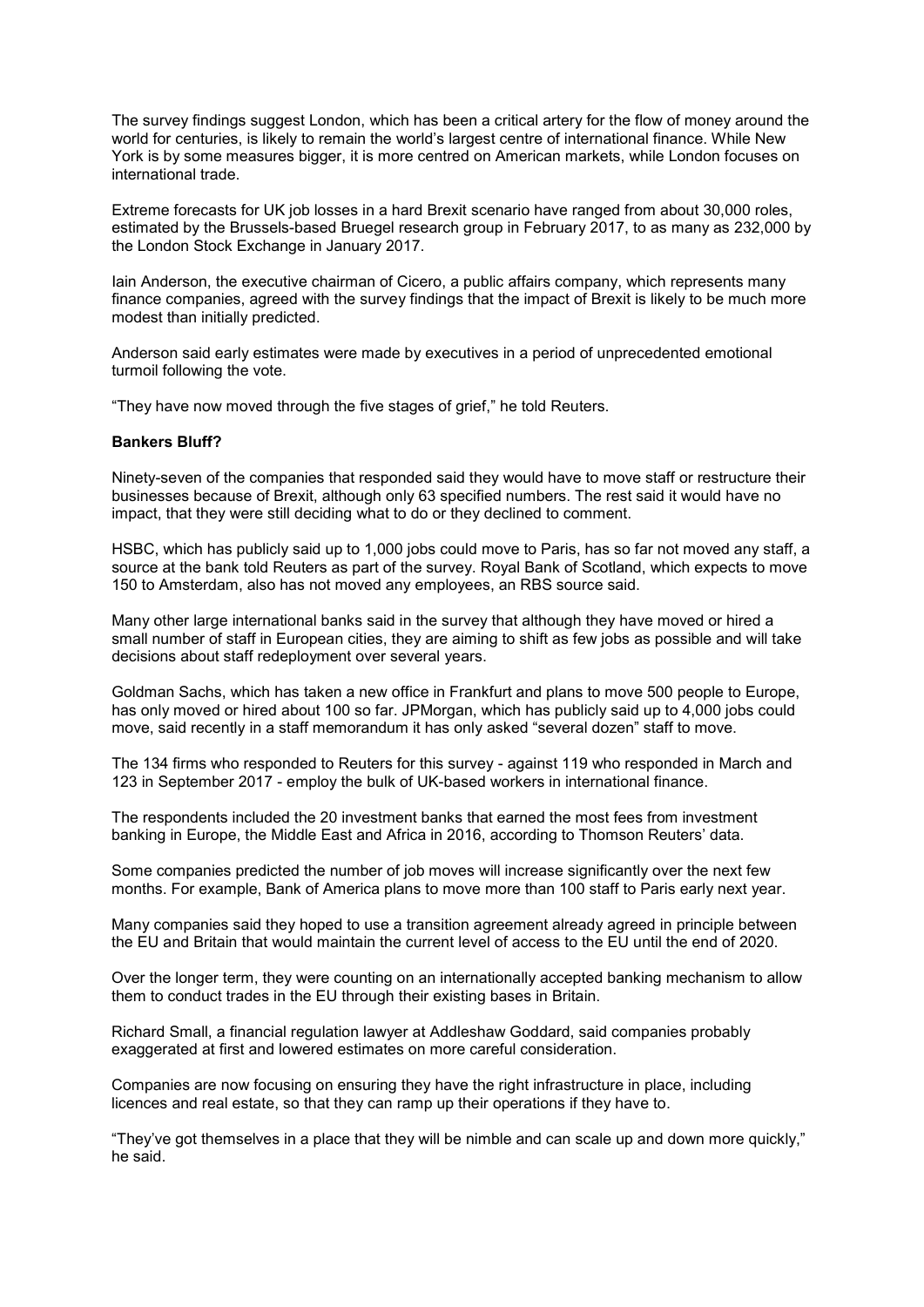The survey findings suggest London, which has been a critical artery for the flow of money around the world for centuries, is likely to remain the world's largest centre of international finance. While New York is by some measures bigger, it is more centred on American markets, while London focuses on international trade.

Extreme forecasts for UK job losses in a hard Brexit scenario have ranged from about 30,000 roles, estimated by the Brussels-based Bruegel research group in February 2017, to as many as 232,000 by the London Stock Exchange in January 2017.

Iain Anderson, the executive chairman of Cicero, a public affairs company, which represents many finance companies, agreed with the survey findings that the impact of Brexit is likely to be much more modest than initially predicted.

Anderson said early estimates were made by executives in a period of unprecedented emotional turmoil following the vote.

"They have now moved through the five stages of grief," he told Reuters.

## **Bankers Bluff?**

Ninety-seven of the companies that responded said they would have to move staff or restructure their businesses because of Brexit, although only 63 specified numbers. The rest said it would have no impact, that they were still deciding what to do or they declined to comment.

HSBC, which has publicly said up to 1,000 jobs could move to Paris, has so far not moved any staff, a source at the bank told Reuters as part of the survey. Royal Bank of Scotland, which expects to move 150 to Amsterdam, also has not moved any employees, an RBS source said.

Many other large international banks said in the survey that although they have moved or hired a small number of staff in European cities, they are aiming to shift as few jobs as possible and will take decisions about staff redeployment over several years.

Goldman Sachs, which has taken a new office in Frankfurt and plans to move 500 people to Europe, has only moved or hired about 100 so far. JPMorgan, which has publicly said up to 4,000 jobs could move, said recently in a staff memorandum it has only asked "several dozen" staff to move.

The 134 firms who responded to Reuters for this survey - against 119 who responded in March and 123 in September 2017 - employ the bulk of UK-based workers in international finance.

The respondents included the 20 investment banks that earned the most fees from investment banking in Europe, the Middle East and Africa in 2016, according to Thomson Reuters' data.

Some companies predicted the number of job moves will increase significantly over the next few months. For example, Bank of America plans to move more than 100 staff to Paris early next year.

Many companies said they hoped to use a transition agreement already agreed in principle between the EU and Britain that would maintain the current level of access to the EU until the end of 2020.

Over the longer term, they were counting on an internationally accepted banking mechanism to allow them to conduct trades in the EU through their existing bases in Britain.

Richard Small, a financial regulation lawyer at Addleshaw Goddard, said companies probably exaggerated at first and lowered estimates on more careful consideration.

Companies are now focusing on ensuring they have the right infrastructure in place, including licences and real estate, so that they can ramp up their operations if they have to.

"They've got themselves in a place that they will be nimble and can scale up and down more quickly," he said.